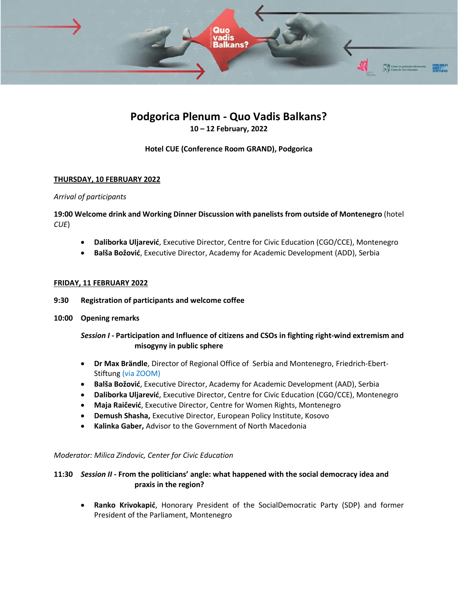

# **Podgorica Plenum - Quo Vadis Balkans? 10 – 12 February, 2022**

## **Hotel CUE (Conference Room GRAND), Podgorica**

## **THURSDAY, 10 FEBRUARY 2022**

#### *Arrival of participants*

## **19:00 Welcome drink and Working Dinner Discussion with panelists from outside of Montenegro** (hotel *CUE*)

- **Daliborka Uljarević**, Executive Director, Centre for Civic Education (CGO/CCE), Montenegro
- **Balša Božović**, Executive Director, Academy for Academic Development (ADD), Serbia

#### **FRIDAY, 11 FEBRUARY 2022**

- **9:30 Registration of participants and welcome coffee**
- **10:00 Opening remarks**

## *Session I* **- Participation and Influence of citizens and CSOs in fighting right-wind extremism and misogyny in public sphere**

- **Dr Max Brändle**, Director of Regional Office of Serbia and Montenegro, Friedrich-Ebert-Stiftung (via ZOOM)
- **Balša Božović**, Executive Director, Academy for Academic Development (AAD), Serbia
- **Daliborka Uljarević**, Executive Director, Centre for Civic Education (CGO/CCE), Montenegro
- **Maja Raičević**, Executive Director, Centre for Women Rights, Montenegro
- **Demush Shasha,** Executive Director, European Policy Institute, Kosovo
- **Kalinka Gaber,** Advisor to the Government of North Macedonia

## *Moderator: Milica Zindovic, Center for Civic Education*

## **11:30** *Session II* **- From the politicians' angle: what happened with the social democracy idea and praxis in the region?**

• **Ranko Krivokapić**, Honorary President of the SocialDemocratic Party (SDP) and former President of the Parliament, Montenegro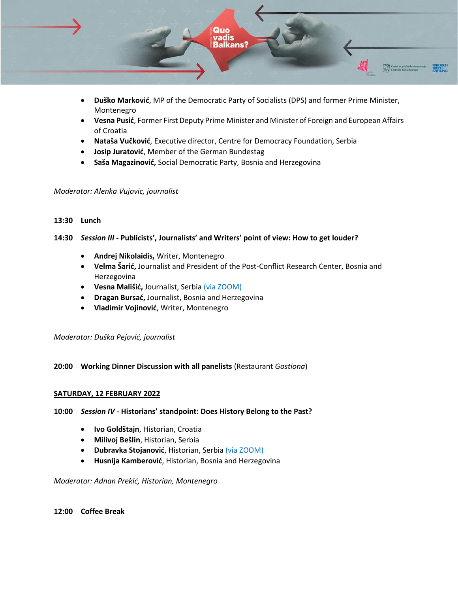

- **Duško Marković**, MP of the Democratic Party of Socialists (DPS) and former Prime Minister, Montenegro
- **Vesna Pusić**, Former First Deputy Prime Minister and Minister of Foreign and European Affairs of Croatia
- **Nataša Vučković**, Executive director, Centre for Democracy Foundation, Serbia
- **Josip Juratović**, Member of the German Bundestag
- **Saša Magazinović,** Social Democratic Party, Bosnia and Herzegovina

#### *Moderator: Alenka Vujovic, journalist*

#### **13:30 Lunch**

## **14:30** *Session III* **- Publicists', Journalists' and Writers' point of view: How to get louder?**

- **Andrej Nikolaidis,** Writer, Montenegro
- **Velma Šarić,** Journalist and President of the Post-Conflict Research Center, Bosnia and Herzegovina
- **Vesna Mališić,** Journalist, Serbia (via ZOOM)
- **Dragan Bursać,** Journalist, Bosnia and Herzegovina
- **Vladimir Vojinović**, Writer, Montenegro

*Moderator: Duška Pejović, journalist*

## **20:00 Working Dinner Discussion with all panelists** (Restaurant *Gostiona*)

#### **SATURDAY, 12 FEBRUARY 2022**

## **10:00** *Session IV -* **Historians' standpoint: Does History Belong to the Past?**

- **Ivo Goldštajn**, Historian, Croatia
- **Milivoj Bešlin**, Historian, Serbia
- **Dubravka Stojanović**, Historian, Serbia (via ZOOM)
- **Husnija Kamberović**, Historian, Bosnia and Herzegovina

*Moderator: Adnan Prekić, Historian, Montenegro* 

#### **12:00 Coffee Break**